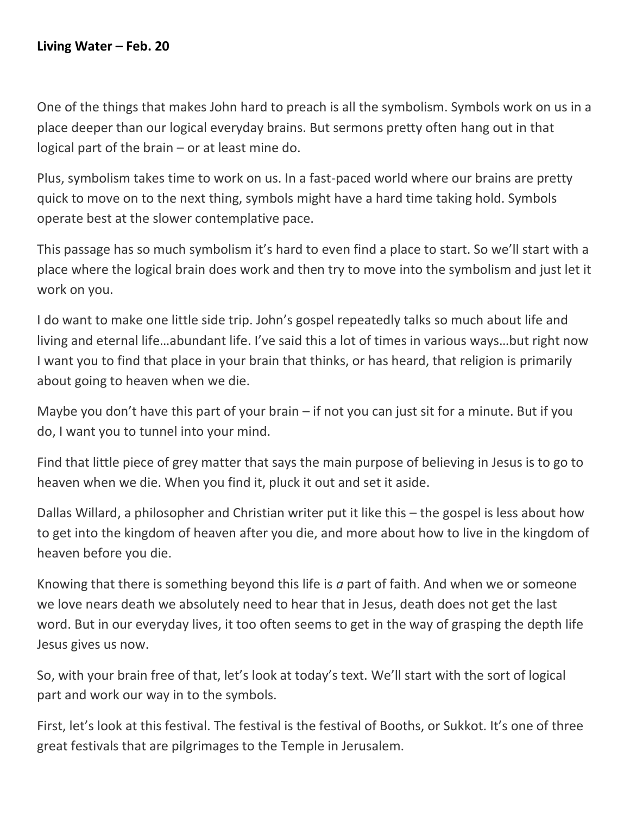One of the things that makes John hard to preach is all the symbolism. Symbols work on us in a place deeper than our logical everyday brains. But sermons pretty often hang out in that logical part of the brain – or at least mine do.

Plus, symbolism takes time to work on us. In a fast-paced world where our brains are pretty quick to move on to the next thing, symbols might have a hard time taking hold. Symbols operate best at the slower contemplative pace.

This passage has so much symbolism it's hard to even find a place to start. So we'll start with a place where the logical brain does work and then try to move into the symbolism and just let it work on you.

I do want to make one little side trip. John's gospel repeatedly talks so much about life and living and eternal life…abundant life. I've said this a lot of times in various ways…but right now I want you to find that place in your brain that thinks, or has heard, that religion is primarily about going to heaven when we die.

Maybe you don't have this part of your brain – if not you can just sit for a minute. But if you do, I want you to tunnel into your mind.

Find that little piece of grey matter that says the main purpose of believing in Jesus is to go to heaven when we die. When you find it, pluck it out and set it aside.

Dallas Willard, a philosopher and Christian writer put it like this – the gospel is less about how to get into the kingdom of heaven after you die, and more about how to live in the kingdom of heaven before you die.

Knowing that there is something beyond this life is *a* part of faith. And when we or someone we love nears death we absolutely need to hear that in Jesus, death does not get the last word. But in our everyday lives, it too often seems to get in the way of grasping the depth life Jesus gives us now.

So, with your brain free of that, let's look at today's text. We'll start with the sort of logical part and work our way in to the symbols.

First, let's look at this festival. The festival is the festival of Booths, or Sukkot. It's one of three great festivals that are pilgrimages to the Temple in Jerusalem.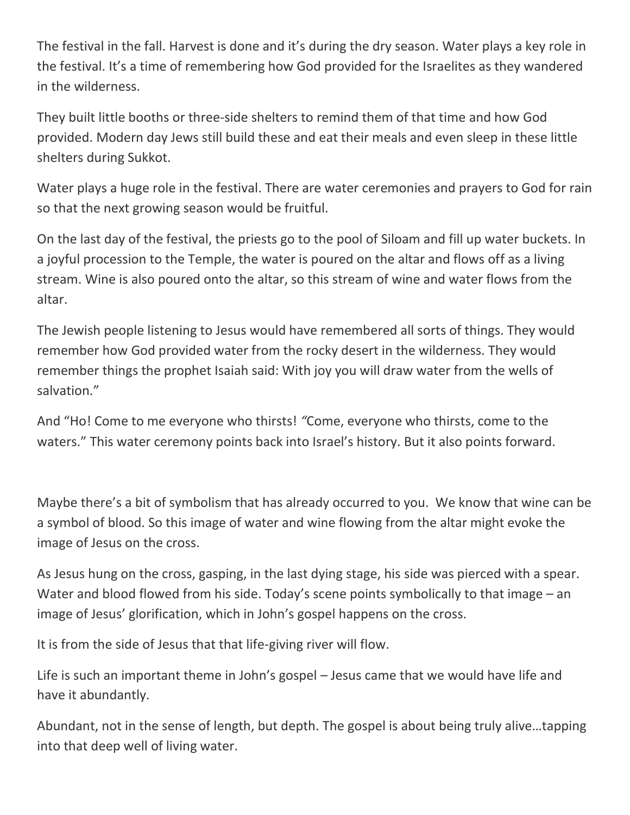The festival in the fall. Harvest is done and it's during the dry season. Water plays a key role in the festival. It's a time of remembering how God provided for the Israelites as they wandered in the wilderness.

They built little booths or three-side shelters to remind them of that time and how God provided. Modern day Jews still build these and eat their meals and even sleep in these little shelters during Sukkot.

Water plays a huge role in the festival. There are water ceremonies and prayers to God for rain so that the next growing season would be fruitful.

On the last day of the festival, the priests go to the pool of Siloam and fill up water buckets. In a joyful procession to the Temple, the water is poured on the altar and flows off as a living stream. Wine is also poured onto the altar, so this stream of wine and water flows from the altar.

The Jewish people listening to Jesus would have remembered all sorts of things. They would remember how God provided water from the rocky desert in the wilderness. They would remember things the prophet Isaiah said: With joy you will draw water from the wells of salvation."

And "Ho! Come to me everyone who thirsts! *"*Come, everyone who thirsts, come to the waters." This water ceremony points back into Israel's history. But it also points forward.

Maybe there's a bit of symbolism that has already occurred to you. We know that wine can be a symbol of blood. So this image of water and wine flowing from the altar might evoke the image of Jesus on the cross.

As Jesus hung on the cross, gasping, in the last dying stage, his side was pierced with a spear. Water and blood flowed from his side. Today's scene points symbolically to that image – an image of Jesus' glorification, which in John's gospel happens on the cross.

It is from the side of Jesus that that life-giving river will flow.

Life is such an important theme in John's gospel – Jesus came that we would have life and have it abundantly.

Abundant, not in the sense of length, but depth. The gospel is about being truly alive…tapping into that deep well of living water.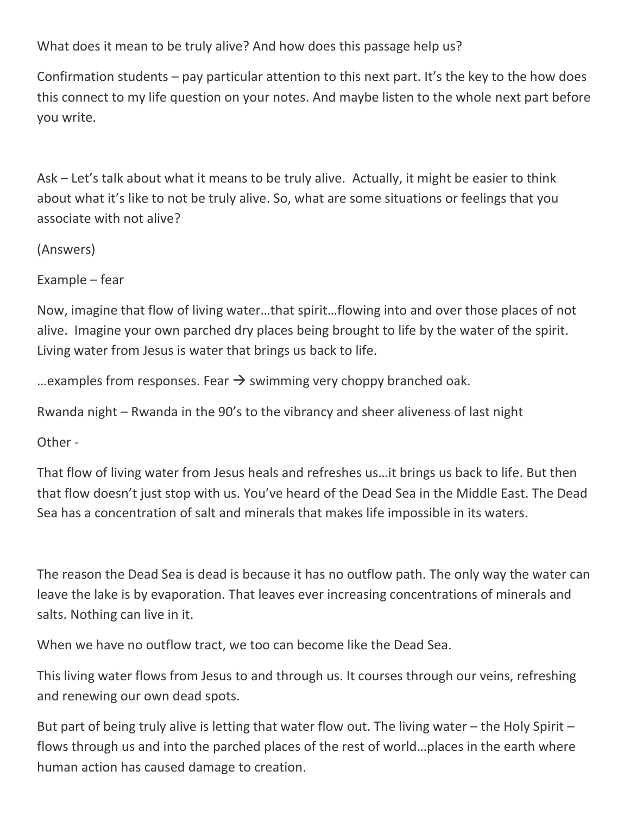What does it mean to be truly alive? And how does this passage help us?

Confirmation students – pay particular attention to this next part. It's the key to the how does this connect to my life question on your notes. And maybe listen to the whole next part before you write.

Ask – Let's talk about what it means to be truly alive. Actually, it might be easier to think about what it's like to not be truly alive. So, what are some situations or feelings that you associate with not alive?

(Answers)

Example – fear

Now, imagine that flow of living water…that spirit…flowing into and over those places of not alive. Imagine your own parched dry places being brought to life by the water of the spirit. Living water from Jesus is water that brings us back to life.

... examples from responses. Fear  $\rightarrow$  swimming very choppy branched oak.

Rwanda night – Rwanda in the 90's to the vibrancy and sheer aliveness of last night

Other -

That flow of living water from Jesus heals and refreshes us…it brings us back to life. But then that flow doesn't just stop with us. You've heard of the Dead Sea in the Middle East. The Dead Sea has a concentration of salt and minerals that makes life impossible in its waters.

The reason the Dead Sea is dead is because it has no outflow path. The only way the water can leave the lake is by evaporation. That leaves ever increasing concentrations of minerals and salts. Nothing can live in it.

When we have no outflow tract, we too can become like the Dead Sea.

This living water flows from Jesus to and through us. It courses through our veins, refreshing and renewing our own dead spots.

But part of being truly alive is letting that water flow out. The living water – the Holy Spirit – flows through us and into the parched places of the rest of world…places in the earth where human action has caused damage to creation.